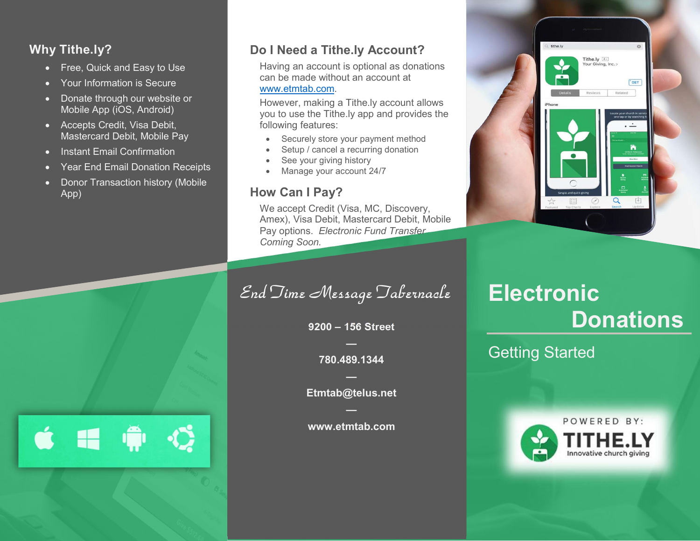## Why Tithe.ly?

- Free, Quick and Easy to Use
- Your Information is Secure
- Donate through our website or Mobile App (iOS, Android)
- Accepts Credit, Visa Debit, Mastercard Debit, Mobile Pay
- Instant Email Confirmation
- Year End Email Donation Receipts
- Donor Transaction history (Mobile App)

 $\bullet$   $\bullet$   $\bullet$   $\bullet$ 

# Do I Need a Tithe.ly Account?

Having an account is optional as donations can be made without an account at www.etmtab.com.

However, making a Tithe.ly account allows you to use the Tithe.ly app and provides the following features:

- Securely store your payment method
- Setup / cancel a recurring donation
- See your giving history
- Manage your account 24/7

### How Can I Pay?

We accept Credit (Visa, MC, Discovery, Amex), Visa Debit, Mastercard Debit, Mobile Pay options. Electronic Fund Transfer Coming Soon.

End Time Message Tabernacle

9200 – 156 Street

— 780.489.1344

— Etmtab@telus.net

 www.etmtab.com

# Tithe.ly  $4+$ <br>Your Giving, Inc. >  $\sqrt{\text{GET}}$ Related 中  $\alpha$

 $Q$ , tithe.ly

# **Electronic Donations**

Getting Started